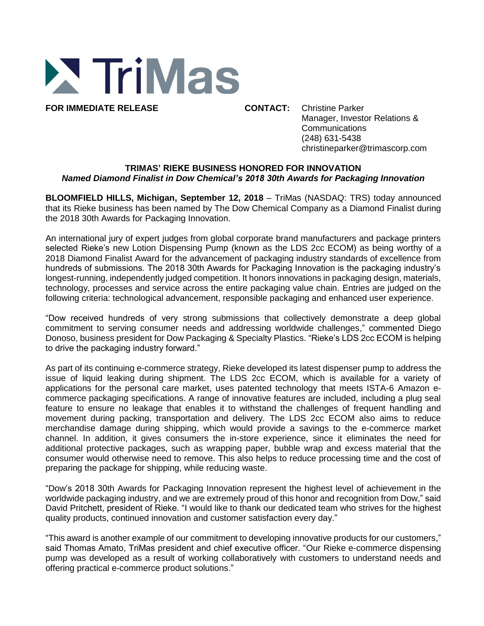

**FOR IMMEDIATE RELEASE CONTACT:** Christine Parker Manager, Investor Relations & **Communications** (248) 631-5438 christineparker@trimascorp.com

## **TRIMAS' RIEKE BUSINESS HONORED FOR INNOVATION** *Named Diamond Finalist in Dow Chemical's 2018 30th Awards for Packaging Innovation*

**BLOOMFIELD HILLS, Michigan, September 12, 2018** – TriMas (NASDAQ: TRS) today announced that its Rieke business has been named by The Dow Chemical Company as a Diamond Finalist during the 2018 30th Awards for Packaging Innovation.

An international jury of expert judges from global corporate brand manufacturers and package printers selected Rieke's new Lotion Dispensing Pump (known as the LDS 2cc ECOM) as being worthy of a 2018 Diamond Finalist Award for the advancement of packaging industry standards of excellence from hundreds of submissions. The 2018 30th Awards for Packaging Innovation is the packaging industry's longest-running, independently judged competition. It honors innovations in packaging design, materials, technology, processes and service across the entire packaging value chain. Entries are judged on the following criteria: technological advancement, responsible packaging and enhanced user experience.

"Dow received hundreds of very strong submissions that collectively demonstrate a deep global commitment to serving consumer needs and addressing worldwide challenges," commented Diego Donoso, business president for Dow Packaging & Specialty Plastics. "Rieke's LDS 2cc ECOM is helping to drive the packaging industry forward."

As part of its continuing e-commerce strategy, Rieke developed its latest dispenser pump to address the issue of liquid leaking during shipment. The LDS 2cc ECOM, which is available for a variety of applications for the personal care market, uses patented technology that meets ISTA-6 Amazon ecommerce packaging specifications. A range of innovative features are included, including a plug seal feature to ensure no leakage that enables it to withstand the challenges of frequent handling and movement during packing, transportation and delivery. The LDS 2cc ECOM also aims to reduce merchandise damage during shipping, which would provide a savings to the e-commerce market channel. In addition, it gives consumers the in-store experience, since it eliminates the need for additional protective packages, such as wrapping paper, bubble wrap and excess material that the consumer would otherwise need to remove. This also helps to reduce processing time and the cost of preparing the package for shipping, while reducing waste.

"Dow's 2018 30th Awards for Packaging Innovation represent the highest level of achievement in the worldwide packaging industry, and we are extremely proud of this honor and recognition from Dow," said David Pritchett, president of Rieke. "I would like to thank our dedicated team who strives for the highest quality products, continued innovation and customer satisfaction every day."

"This award is another example of our commitment to developing innovative products for our customers," said Thomas Amato, TriMas president and chief executive officer. "Our Rieke e-commerce dispensing pump was developed as a result of working collaboratively with customers to understand needs and offering practical e-commerce product solutions."